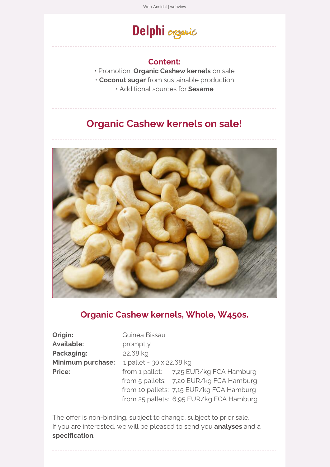# Delphi organic

#### **Content:**

- Promotion: **Organic [Cashew](https://ta37b2676.emailsys1a.net/c/36/5350703/0/0/0/322781/db0178f41a.html) kernels** on sale
- **[Coconut](https://ta37b2676.emailsys1a.net/c/36/5350703/0/0/0/322047/7b82b30164.html) sugar** from sustainable production
	- Additional sources for **[Sesame](https://ta37b2676.emailsys1a.net/c/36/5350703/0/0/0/322049/da8a9f1312.html)**

## **Organic [Cashew](https://ta37b2676.emailsys1a.net/c/36/5350703/0/0/0/322781/db0178f41a.html) kernels on sale!**



#### **Organic [Cashew](https://ta37b2676.emailsys1a.net/c/36/5350703/0/0/0/322781/db0178f41a.html) kernels, Whole, W450s.**

**Origin:** Guinea Bissau Available: promptly Packaging: 22,68 kg

**Minimum purchase:** 1 pallet = 30 x 22,68 kg **Price:** from 1 pallet: 7,25 EUR/kg FCA Hamburg from 5 pallets: 7,20 EUR/kg FCA Hamburg from 10 pallets: 7,15 EUR/kg FCA Hamburg from 25 pallets: 6,95 EUR/kg FCA Hamburg

The offer is non-binding, subject to change, subject to prior sale. If you are interested, we will be pleased to send you **analyses** and a **specification**.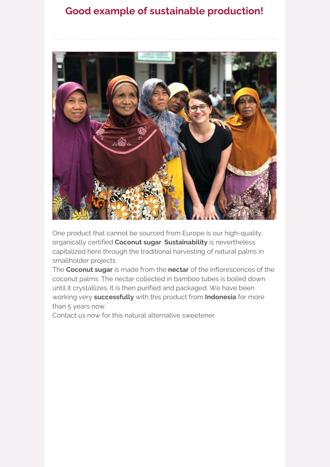## **Good example of sustainable production!**



One product that cannot be sourced from Europe is our high-quality, organically certified **[Coconut](https://ta37b2676.emailsys1a.net/c/36/5350703/0/0/0/322047/7b82b30164.html) sugar**. **Sustainability** is nevertheless capitalized here through the traditional harvesting of natural palms in smallholder projects.

The **[Coconut](https://ta37b2676.emailsys1a.net/c/36/5350703/0/0/0/322047/7b82b30164.html) sugar** is made from the **nectar** of the inflorescences of the coconut palms. The nectar collected in bamboo tubes is boiled down until it crystallizes. It is then purified and packaged. We have been working very **successfully** with this product from **Indonesia** for more than 5 years now.

Contact us now for this natural alternative sweetener.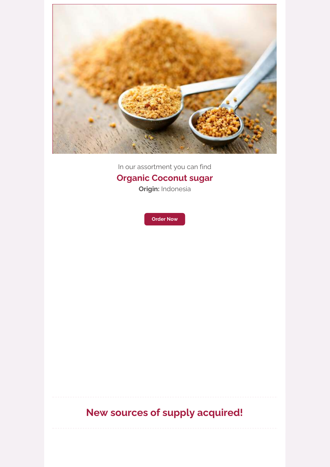

In our assortment you can find

## **Organic [Coconut](https://ta37b2676.emailsys1a.net/c/36/5350703/0/0/0/322047/7b82b30164.html) sugar**

**Origin:** Indonesia



## **New sources of supply acquired!**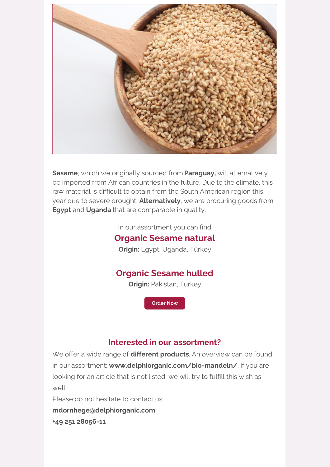

**[Sesame](https://ta37b2676.emailsys1a.net/c/36/5350703/0/0/0/322049/da8a9f1312.html)**, which we originally sourced from **Paraguay,** will alternatively be imported from African countries in the future. Due to the climate, this raw material is difficult to obtain from the South American region this year due to severe drought. **Alternatively**, we are procuring goods from **Egypt** and **Uganda** that are comparable in quality.

In our assortment you can find

#### **Organic [Sesame](https://ta37b2676.emailsys1a.net/c/36/5350703/0/0/0/322311/57fd47986b.html) natural**

**Origin:** Egypt, Uganda, Türkey

### **Organic [Sesame](https://ta37b2676.emailsys1a.net/c/36/5350703/0/0/0/322313/85dac5fd91.html) hulled**

**Origin:** Pakistan, Turkey

**[Order](https://ta37b2676.emailsys1a.net/c/36/5350703/0/0/0/322049/da8a9f1312.html) Now**

#### **Interested in our [assortment?](https://ta37b2676.emailsys1a.net/c/36/5350703/0/0/0/322071/29cb4e58a5.html)**

We offer a wide range of **different products**. An overview can be found in our assortment: **[www.delphiorganic.com/bio-mandeln/](https://ta37b2676.emailsys1a.net/c/36/5350703/0/0/0/322071/29cb4e58a5.html)**. If you are looking for an article that is not listed, we will try to fulfill this wish as  $\left| \right|$ 

Please do not hesitate to contact us:

**[mdornhege@delphiorganic.com](https://ta37b2676.emailsys1a.net/c/36/5350703/0/0/0/322073/3267b5d2cc.html)**

**+49 251 [28056-11](https://ta37b2676.emailsys1a.net/c/36/5350703/0/0/0/322073/3267b5d2cc.html)**